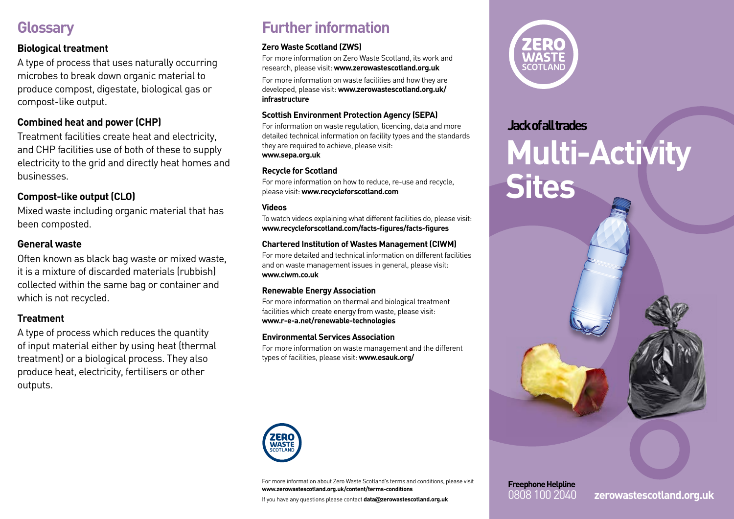### **Glossary**

#### **Biological treatment**

A type of process that uses naturally occurring microbes to break down organic material to produce compost, digestate, biological gas or compost-like output.

### **Combined heat and power (CHP)**

Treatment facilities create heat and electricity, and CHP facilities use of both of these to supply electricity to the grid and directly heat homes and businesses.

### **Compost-like output (CLO)**

Mixed waste including organic material that has been composted.

#### **General waste**

Often known as black bag waste or mixed waste, it is a mixture of discarded materials (rubbish) collected within the same bag or container and which is not recycled.

#### **Treatment**

A type of process which reduces the quantity of input material either by using heat (thermal treatment) or a biological process. They also produce heat, electricity, fertilisers or other outputs.

## **Further information**

#### **Zero Waste Scotland (ZWS)**

For more information on Zero Waste Scotland, its work and research, please visit: **www.zerowastescotland.org.uk**

For more information on waste facilities and how they are developed, please visit: **www.zerowastescotland.org.uk/ infrastructure**

#### **Scottish Environment Protection Agency (SEPA)**

For information on waste regulation, licencing, data and more detailed technical information on facility types and the standards they are required to achieve, please visit: **www.sepa.org.uk**

#### **Recycle for Scotland**

For more information on how to reduce, re-use and recycle, please visit: **www.recycleforscotland.com**

#### **Videos**

To watch videos explaining what different facilities do, please visit: **www.recycleforscotland.com/facts-figures/facts-figures**

#### **Chartered Institution of Wastes Management (CIWM)**

For more detailed and technical information on different facilities and on waste management issues in general, please visit: **www.ciwm.co.uk**

#### **Renewable Energy Association**

For more information on thermal and biological treatment facilities which create energy from waste, please visit: **www.r-e-a.net/renewable-technologies**

#### **Environmental Services Association**

For more information on waste management and the different types of facilities, please visit: **www.esauk.org/**



For more information about Zero Waste Scotland's terms and conditions, please visit **www.zerowastescotland.org.uk/content/terms-conditions**

If you have any questions please contact **data@zerowastescotland.org.uk**



# **Jack of all trades Multi-Activity Sites**



0808 100 2040 **zerowastescotland.org.uk**